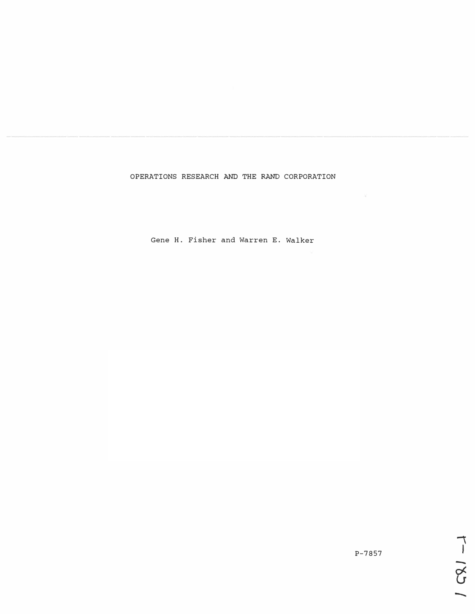OPERATIONS RESEARCH AND THE RAND CORPORATION

Gene H. Fisher and Warren E. Walker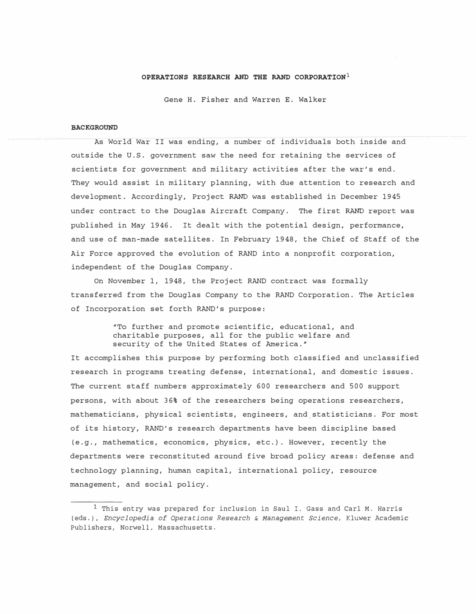### OPERATIONS RESEARCH AND THE RAND CORPORATION<sup>1</sup>

Gene H. Fisher and Warren E. Walker

### **BACKGROUND**

As World War II was ending, a number of individuals both inside and outside the U. S. government saw the need for retaining the services of scientists for government and military activities after the war's end. They would assist in military planning, with due attention to research and development. Accordingly, Project RAND was established in December 1945 under contract to the Douglas Aircraft Company. The first RAND report was published in May 1946. It dealt with the potential design, performance, and use of man-made satellites. In February 1948, the Chief of Staff of the Air Force approved the evolution of RAND into a nonprofit corporation, independent of the Douglas Company.

On November 1, 1948, the Project RAND contract was formally transferred from the Douglas Company to the RAND Corporation. The Articles of Incorporation set forth RAND's purpose:

> "To further and promote scientific, educational, and charitable purposes, all for the public welfare and security of the United States of America. "

It accomplishes this purpose by performing both classified and unclassified research in programs treating defense, international, and domestic issues. The current staff numbers approximately 600 researchers and 500 support persons, with about 36% of the researchers being operations researchers, mathematicians, physical scientists, engineers, and statisticians. For most of its history, RAND's research departments have been discipline based (e. g. , mathematics, economics, physics, etc. ). However, recently the departments were reconstituted around five broad policy areas: defense and technology planning, human capital, international policy, resource management, and social policy.

<sup>1</sup> This entry was prepared for inclusion in Saul I. Gass and Carl M. Harris (eds.), Encyclopedia of Operations Research & Management Science, Kluwer Academic Publishers, Norwell, Massachusetts.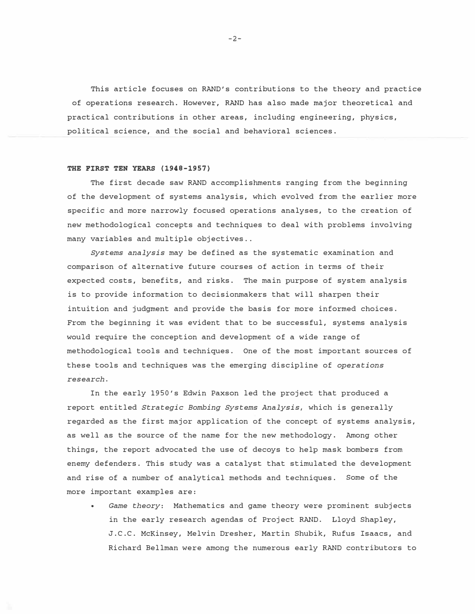This article focuses on RAND's contributions to the theory and practice of operations research. However, RAND has also made major theoretical and practical contributions in other areas, including engineering, physics, political science, and the social and behavioral sciences.

# THE FIRST TEN YEARS (1948-1957)

The first decade saw RAND accomplishments ranging from the beginning of the development of systems analysis, which evolved from the earlier more specific and more narrowly focused operations analyses, to the creation of new methodological concepts and techniques to deal with problems involving many variables and multiple objectives ..

Systems analysis may be defined as the systematic examination and comparison of alternative future courses of action in terms of their expected costs, benefits, and risks. The main purpose of system analysis is to provide information to decisionmakers that will sharpen their intuition and judgment and provide the basis for more informed choices. From the beginning it was evident that to be successful, systems analysis would require the conception and development of a wide range of methodological tools and techniques. One of the most important sources of these tools and techniques was the emerging discipline of operations research.

In the early 1950's Edwin Paxson led the project that produced a report entitled Strategic Bombing Systems Analysis, which is generally regarded as the first major application of the concept of systems analysis, as well as the source of the name for the new methodology. Among other things, the report advocated the use of decoys to help mask bombers from enemy defenders. This study was a catalyst that stimulated the development and rise of a number of analytical methods and techniques. Some of the more important examples are:

Game theory: Mathematics and game theory were prominent subjects in the early research agendas of Project RAND. Lloyd Shapley, J. C. C. McKinsey, Melvin Dresher, Martin Shubik, Rufus Isaacs, and Richard Bellman were among the numerous early RAND contributors to

-2-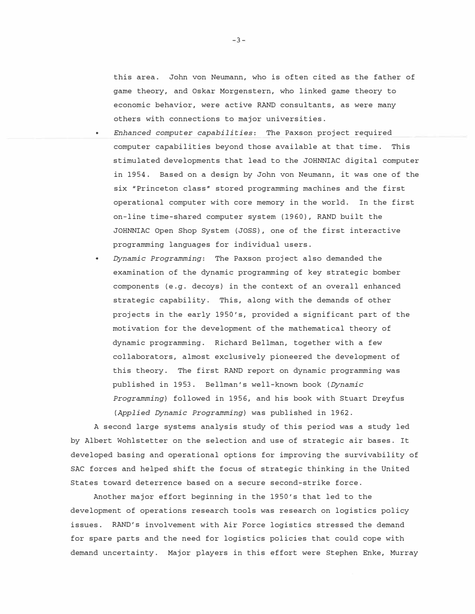this area. John von Neumann, who is often cited as the father of game theory, and Oskar Morgenstern, who linked game theory to economic behavior, were active RAND consultants, as were many others with connections to major universities.

Enhanced computer capabilities: The Paxson project required  $\bullet$ computer capabilities beyond those available at that time. This stimulated developments that lead to the JOHNNIAC digital computer in 1954. Based on a design by John von Neumann, it was one of the six "Princeton class" stored programming machines and the first operational computer with core memory in the world. In the first on-line time-shared computer system (1960), RAND built the JOHNNIAC Open Shop System (JOSS), one of the first interactive programming languages for individual users.

Dynamic Programming: The Paxson project also demanded the examination of the dynamic programming of key strategic bomber components (e. g. decoys) in the context of an overall enhanced strategic capability. This, along with the demands of other projects in the early 1950's, provided a significant part of the motivation for the development of the mathematical theory of dynamic programming. Richard Bellman, together with a few collaborators, almost exclusively pioneered the development of this theory. The first RAND report on dynamic programming was published in 1953. Bellman's well-known book (Dynamic Programming) followed in 1956, and his book with Stuart Dreyfus (Applied Dynamic Programming) was published in 1962.

A second large systems analysis study of this period was a study led by Albert Wohlstetter on the selection and use of strategic air bases. It developed basing and operational options for improving the survivability of SAC forces and helped shift the focus of strategic thinking in the United States toward deterrence based on a secure second-strike force.

Another major effort beginning in the 1950's that led to the development of operations research tools was research on logistics policy issues. RAND's involvement with Air Force logistics stressed the demand for spare parts and the need for logistics policies that could cope with demand uncertainty. Major players in this effort were Stephen Enke, Murray

-3-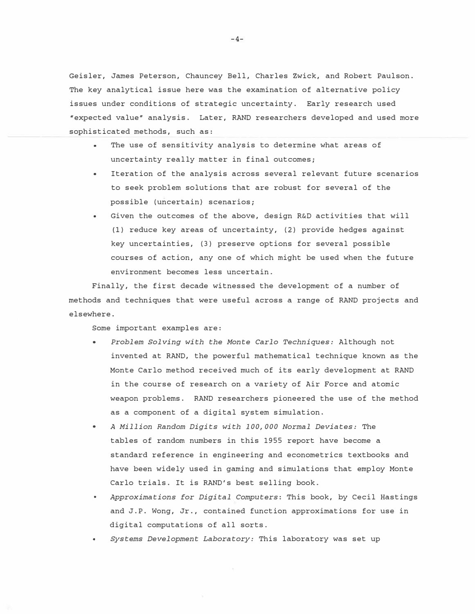Geisler, James Peterson, Chauncey Bell, Charles Zwick, and Robert Paulson. The key analytical issue here was the examination of alternative policy issues under conditions of strategic uncertainty. Early research used "expected value" analysis. Later, RAND researchers developed and used more sophisticated methods, such as:

- The use of sensitivity analysis to determine what areas of uncertainty really matter in final outcomes;
- Iteration of the analysis across several relevant future scenarios to seek problem solutions that are robust for several of the possible (uncertain) scenarios;
- Given the outcomes of the above, design R&D activities that will (1) reduce key areas of uncertainty, (2) provide hedges against key uncertainties, (3) preserve options for several possible courses of action, any one of which might be used when the future environment becomes less uncertain.

Finally, the first decade witnessed the development of a number of methods and techniques that were useful across a range of RAND projects and elsewhere.

Some important examples are:

- Problem Solving with the Monte Carlo Techniques: Although not invented at RAND, the powerful mathematical technique known as the Monte Carlo method received much of its early development at RAND in the course of research on a variety of Air Force and atomic weapon problems. RAND researchers pioneered the use of the method as a component of a digital system simulation.
- A Million Random Digits with 100,000 Normal Deviates: The tables of random numbers in this 1955 report have become a standard reference in engineering and econometrics textbooks and have been widely used in gaming and simulations that employ Monte Carlo trials. It is RAND's best selling book.
- Approximations for Digital Computers: This book, by Cecil Hastings and J.P. Wong, Jr., contained function approximations for use in digital computations of all sorts.
- Systems Development Laboratory: This laboratory was set up

 $-4-$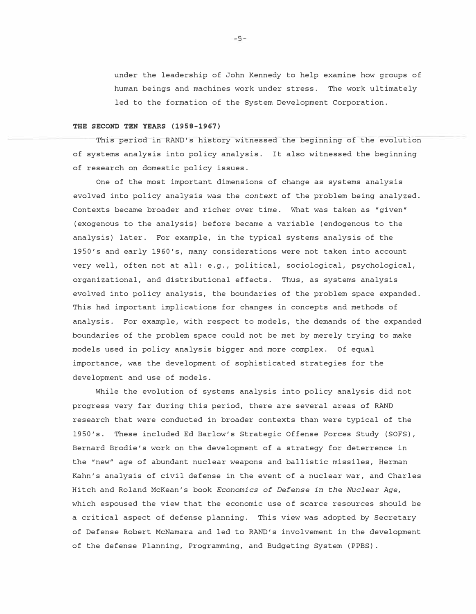under the leadership of John Kennedy to help examine how groups of human beings and machines work under stress. The work ultimately led to the formation of the System Development Corporation.

# THE SECOND TEN YEARS (1958-1967)

This period in RAND's history witnessed the beginning of the evolution of systems analysis into policy analysis. It also witnessed the beginning of research on domestic policy issues.

One of the most important dimensions of change as systems analysis evolved into policy analysis was the context of the problem being analyzed. Contexts became broader and richer over time. What was taken as "given" (exogenous to the analysis) before became a variable (endogenous to the analysis) later. For example, in the typical systems analysis of the 1950's and early 1960's, many considerations were not taken into account very well, often not at all: e.g., political, sociological, psychological, organizational, and distributional effects. Thus, as systems analysis evolved into policy analysis, the boundaries of the problem space expanded. This had important implications for changes in concepts and methods of analysis. For example, with respect to models, the demands of the expanded boundaries of the problem space could not be met by merely trying to make models used in policy analysis bigger and more complex. Of equal importance, was the development of sophisticated strategies for the development and use of models.

While the evolution of systems analysis into policy analysis did not progress very far during this period, there are several areas of RAND research that were conducted in broader contexts than were typical of the 1950's. These included Ed Barlow's Strategic Offense Forces Study (SOFS), Bernard Brodie's work on the development of a strategy for deterrence in the "new" age of abundant nuclear weapons and ballistic missiles, Herman Kahn's analysis of civil defense in the event of a nuclear war, and Charles Hitch and Roland McKean's book Economics of Defense in the Nuclear Age, which espoused the view that the economic use of scarce resources should be a critical aspect of defense planning. This view was adopted by Secretary of Defense Robert McNamara and led to RAND's involvement in the development of the defense Planning, Programming, and Budgeting System (PPBS).

-5-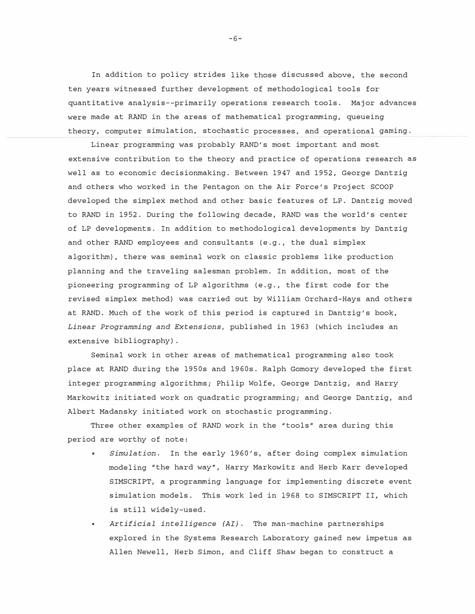In addition to policy strides like those discussed above, the second ten years witnessed further development of methodological tools for quantitative analysis--primarily operations research tools. Major advances were made at RAND in the areas of mathematical programming, queueing theory, computer simulation, stochastic processes, and operational gaming.

Linear programming was probably RAND's most important and most extensive contribution to the theory and practice of operations research as well as to economic decisionmaking. Between 1947 and 1952, George Dantzig and others who worked in the Pentagon on the Air Force's Project SCOOP developed the simplex method and other basic features of LP. Dantzig moved to RAND in 1952. During the following decade, RAND was the world's center of LP developments. In addition to methodological developments by Dantzig and other RAND employees and consultants (e.g., the dual simplex algorithm), there was seminal work on classic problems like production planning and the traveling salesman problem. In addition, most of the pioneering programming of LP algorithms (e. g. , the first code for the revised simplex method) was carried out by William Orchard-Hays and others at RAND. Much of the work of this period is captured in Dantzig's book, Linear Programming and Extensions, published in 1963 (which includes an extensive bibliography) .

Seminal work in other areas of mathematical programming also took place at RAND during the 1950s and 1960s. Ralph Gomory developed the first integer programming algorithms; Philip Wolfe, George Dantzig, and Harry Markowitz initiated work on quadratic programming; and George Dantzig, and Albert Madansky initiated work on stochastic programming.

Three other examples of RAND work in the "tools" area during this period are worthy of note:

- Simulation. In the early 1960's, after doing complex simulation modeling "the hard way", Harry Markowitz and Herb Karr developed SIMSCRIPT, a programming language for implementing discrete event simulation models. This work led in 1968 to SIMSCRIPT II, which is still widely-used.
- Artificial intelligence (AI). The man-machine partnerships explored in the Systems Research Laboratory gained new impetus as Allen Newell, Herb Simon, and Cliff Shaw began to construct a

-6-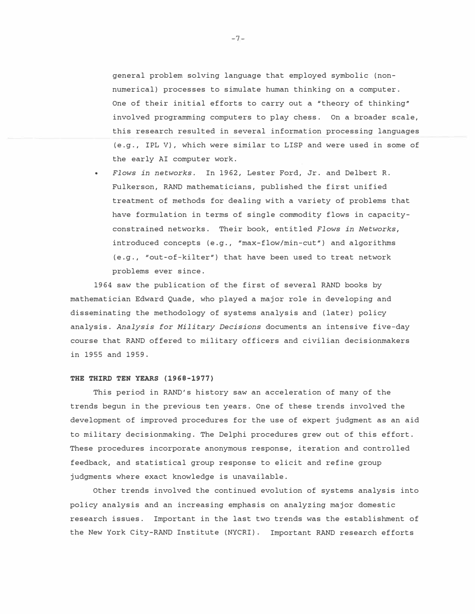general problem solving language that employed symbolic (nonnumerical) processes to simulate human thinking on a computer. One of their initial efforts to carry out a "theory of thinking" involved programming computers to play chess. On a broader scale, this research resulted in several information processing languages (e.g., IPL V), which were similar to LISP and were used in some of the early AI computer work.

Flows in networks. In 1962, Lester Ford, Jr. and Delbert R. Fulkerson, RAND mathematicians, published the first unified treatment of methods for dealing with a variety of problems that have formulation in terms of single commodity flows in capacityconstrained networks. Their book, entitled Flows in Networks, introduced concepts (e.g., "max-flow/min-cut") and algorithms (e.g., "out-of-kilter") that have been used to treat network problems ever since.

1964 saw the publication of the first of several RAND books by mathematician Edward Quade, who played a major role in developing and disseminating the methodology of systems analysis and (later) policy analysis. Analysis for Military Decisions documents an intensive five-day course that RAND offered to military officers and civilian decisionmakers in 1955 and 1959.

#### THE THIRD TEN YEARS (1968-1977)

This period in RAND's history saw an acceleration of many of the trends begun in the previous ten years. One of these trends involved the development of improved procedures for the use of expert judgment as an aid to military decisionmaking. The Delphi procedures grew out of this effort. These procedures incorporate anonymous response, iteration and controlled feedback, and statistical group response to elicit and refine group judgments where exact knowledge is unavailable.

Other trends involved the continued evolution of systems analysis into policy analysis and an increasing emphasis on analyzing major domestic research issues. Important in the last two trends was the establishment of the New York City-RAND Institute (NYCRI) . Important RAND research efforts

-7-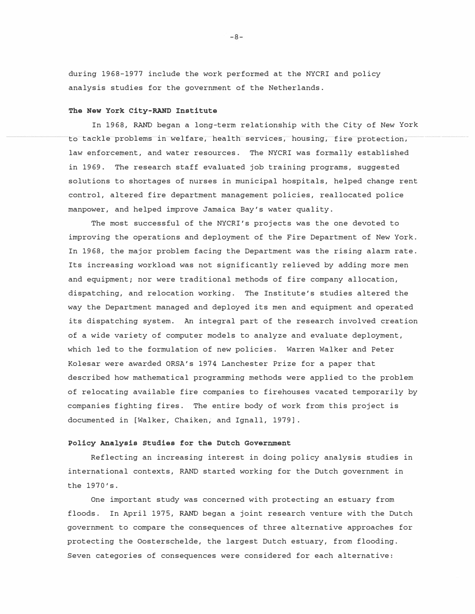during 1968-1977 include the work performed at the NYCRI and policy analysis studies for the government of the Netherlands.

## The New York City-RAND Institute

In 1968, RAND began a long-term relationship with the City of New York to tackle problems in welfare, health services, housing, fire protection, law enforcement, and water resources. The NYCRI was formally established in 1969. The research staff evaluated job training programs, suggested solutions to shortages of nurses in municipal hospitals, helped change rent control, altered fire department management policies, reallocated police manpower, and helped improve Jamaica Bay's water quality.

The most successful of the NYCRI's projects was the one devoted to improving the operations and deployment of the Fire Department of New York. In 1968, the major problem facing the Department was the rising alarm rate. Its increasing workload was not significantly relieved by adding more men and equipment; nor were traditional methods of fire company allocation, dispatching, and relocation working. The Institute's studies altered the way the Department managed and deployed its men and equipment and operated its dispatching system. An integral part of the research involved creation of a wide variety of computer models to analyze and evaluate deployment, which led to the formulation of new policies. Warren Walker and Peter Kolesar were awarded ORSA's 1974 Lanchester Prize for a paper that described how mathematical programming methods were applied to the problem of relocating available fire companies to firehouses vacated temporarily by companies fighting fires. The entire body of work from this project is documented in [Walker, Chaiken, and Ignall, 1979].

### Policy Analysis Studies for the Dutch Government

Reflecting an increasing interest in doing policy analysis studies in international contexts, RAND started working for the Dutch government in the 1970's.

One important study was concerned with protecting an estuary from floods. In April 1975, RAND began a joint research venture with the Dutch government to compare the consequences of three alternative approaches for protecting the Oosterschelde, the largest Dutch estuary, from flooding. Seven categories of consequences were considered for each alternative: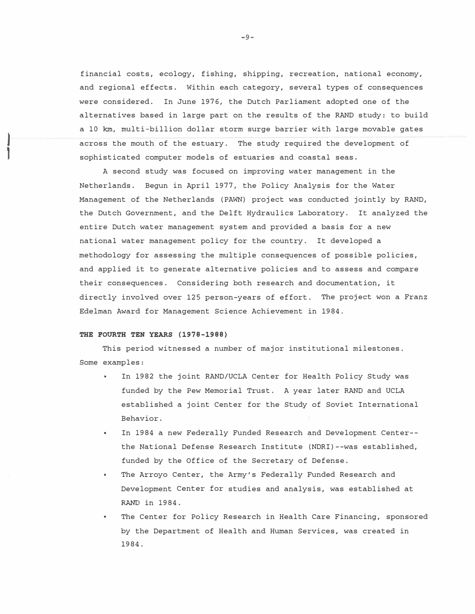financial costs, ecology, fishing, shipping, recreation, national economy, and regional effects. Within each category, several types of consequences were considered. In June 1976, the Dutch Parliament adopted one of the alternatives based in large part on the results of the RAND study: to build a 10 km, multi-billion dollar storm surge barrier with large movable gates across the mouth of the estuary. The study required the development of sophisticated computer models of estuaries and coastal seas.

A second study was focused on improving water management in the Netherlands. Begun in April 1977, the Policy Analysis for the Water Management of the Netherlands (PAWN) project was conducted jointly by RAND, the Dutch Government, and the Delft Hydraulics Laboratory. It analyzed the entire Dutch water management system and provided a basis for a new national water management policy for the country. It developed a methodology for assessing the multiple consequences of possible policies, and applied it to generate alternative policies and to assess and compare their consequences. Considering both research and documentation, it directly involved over 125 person-years of effort. The project won a Franz Edelman Award for Management Science Achievement in 1984 .

## THE FOURTH TEN YEARS (1978-1988)

 $\mathbf{\mathbf{I}}$ 1

> This period witnessed a number of major institutional milestones. Some examples:

- In 1982 the joint RAND/UCLA Center for Health Policy Study was funded by the Pew Memorial Trust. A year later RAND and UCLA established a joint Center for the Study of Soviet International Behavior.
- In 1984 a new Federally Funded Research and Development Center the National Defense Research Institute (NDRI)--was established, funded by the Office of the Secretary of Defense.
- The Arroyo Center, the Army's Federally Funded Research and Development Center for studies and analysis, was established at RAND in 1984 .
- The Center for Policy Research in Health Care Financing, sponsored by the Department of Health and Human Services, was created in 1984 .

-9-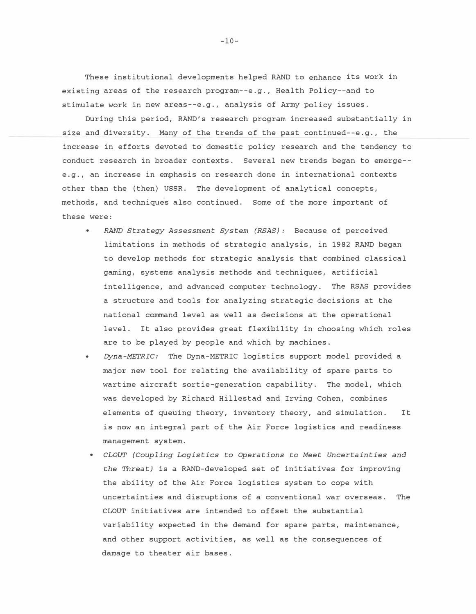These institutional developments helped RAND to enhance its work in existing areas of the research program--e.g., Health Policy--and to stimulate work in new areas--e.g., analysis of Army policy issues.

During this period, RAND's research program increased substantially in size and diversity. Many of the trends of the past continued--e. g. , the increase in efforts devoted to domestic policy research and the tendency to conduct research in broader contexts. Several new trends began to emerge e. g. , an increase in emphasis on research done in international contexts other than the (then) USSR. The development of analytical concepts, methods, and techniques also continued. Some of the more important of these were:

- RAND Strategy Assessment System (RSAS): Because of perceived limitations in methods of strategic analysis, in 1982 RAND began to develop methods for strategic analysis that combined classical gaming, systems analysis methods and techniques, artificial intelligence, and advanced computer technology. The RSAS provides a structure and tools for analyzing strategic decisions at the national command level as well as decisions at the operational level. It also provides great flexibility in choosing which roles are to be played by people and which by machines.
- Dyna-METRIC: The Dyna-METRIC logistics support model provided a major new tool for relating the availability of spare parts to wartime aircraft sortie-generation capability. The model, which was developed by Richard Hillestad and Irving Cohen, combines elements of queuing theory, inventory theory, and simulation. It is now an integral part of the Air Force logistics and readiness management system.
- CLOUT (Coupling Logistics to Operations to Meet Uncertainties and the Threat) is a RAND-developed set of initiatives for improving the ability of the Air Force logistics system to cope with uncertainties and disruptions of a conventional war overseas. The CLOUT initiatives are intended to offset the substantial variability expected in the demand for spare parts, maintenance, and other support activities, as well as the consequences of damage to theater air bases.

 $-10-$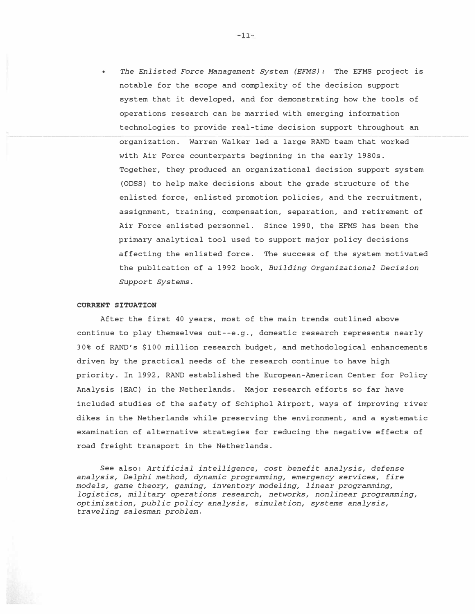The Enlisted Force Management System (EFMS): The EFMS project is notable for the scope and complexity of the decision support system that it developed, and for demonstrating how the tools of operations research can be married with emerging information technologies to provide real-time decision support throughout an organization. Warren Walker led a large RAND team that worked with Air Force counterparts beginning in the early 1980s. Together, they produced an organizational decision support system (ODSS) to help make decisions about the grade structure of the enlisted force, enlisted promotion policies, and the recruitment, assignment, training, compensation, separation, and retirement of Air Force enlisted personnel. Since 1990, the EFMS has been the primary analytical tool used to support major policy decisions affecting the enlisted force. The success of the system motivated the publication of a 1992 book, Building Organizational Decision Support Systems.

### CURRENT SITUATION

After the first 40 years, most of the main trends outlined above continue to play themselves out--e. g. , domestic research represents nearly 30% of RAND's \$100 million research budget, and methodological enhancements driven by the practical needs of the research continue to have high priority. In 1992, RAND established the European-American Center for Policy Analysis (EAC) in the Netherlands. Major research efforts so far have included studies of the safety of Schiphol Airport, ways of improving river dikes in the Netherlands while preserving the environment, and a systematic examination of alternative strategies for reducing the negative effects of road freight transport in the Netherlands.

See also: Artificial intelligence, cost benefit analysis, defense analysis, Delphi method, dynamic programming, emergency services, fire models, game theory, gaming, inventory modeling, linear programming, logistics, military operations research, networks, nonlinear programming, optimization, public policy analysis, simulation, systems analysis, traveling salesman problem.

 $-11-$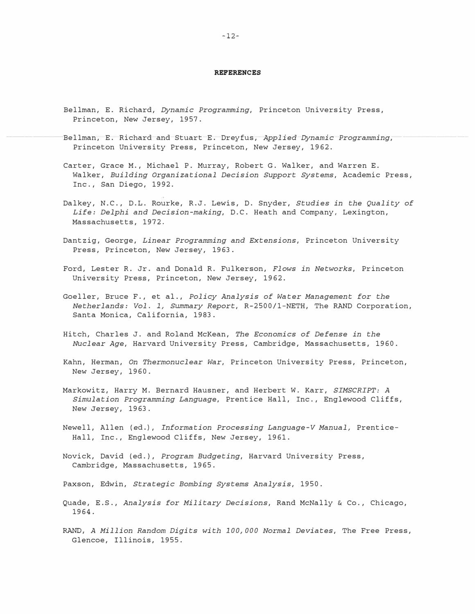#### REFERENCES

- Bellman, E. Richard, Dynamic Programming, Princeton University Press, Princeton, New Jersey, 1957.
- Bellman, E. Richard and Stuart E. Dreyfus, Applied Dynamic Programming, Princeton University Press, Princeton, New Jersey, 1962.
- Carter, Grace M. , Michael P. Murray, Robert G. Walker, and Warren E. Walker, Building Organizational Decision Support Systems, Academic Press, Inc., San Diego, 1992.
- Dalkey, N.C., D.L. Rourke, R.J. Lewis, D. Snyder, Studies in the Quality of Life: Delphi and Decision-making, D.C. Heath and Company, Lexington, Massachusetts, 1972.
- Dantzig, George, Linear Programming and Extensions, Princeton University Press, Princeton, New Jersey, 1963.
- Ford, Lester R. Jr. and Donald R. Fulkerson, Flows in Networks, Princeton University Press, Princeton, New Jersey, 1962.
- Goeller, Bruce F., et al., Policy Analysis of Water Management for the Netherlands: Vol. l, Swnmary Report, R-2500/1-NETH, The RAND Corporation, Santa Monica, California, 1983.
- Hitch, Charles J. and Roland McKean, The Economics of Defense in the Nuclear Age, Harvard University Press, Cambridge, Massachusetts, 1960.
- Kahn, Herman, On Thermonuclear War, Princeton University Press, Princeton, New Jersey, 1960.
- Markowitz, Harry M. Bernard Hausner, and Herbert W. Karr, SIMSCRIPT: A Simulation Programming Language, Prentice Hall, Inc., Englewood Cliffs, New Jersey, 1963.
- Newell, Allen (ed.), Information Processing Language-V Manual, Prentice-Hall, Inc., Englewood Cliffs, New Jersey, 1961.
- Novick, David (ed. ), Program Budgeting, Harvard University Press, Cambridge, Massachusetts, 1965.
- Paxson, Edwin, Strategic Bombing Systems Analysis, 1950.
- Quade, E.S., Analysis for Military Decisions, Rand McNally & Co., Chicago, 1964.

RAND, A Million Random Digits with 100,000 Normal Deviates, The Free Press, Glencoe, Illinois, 1955.